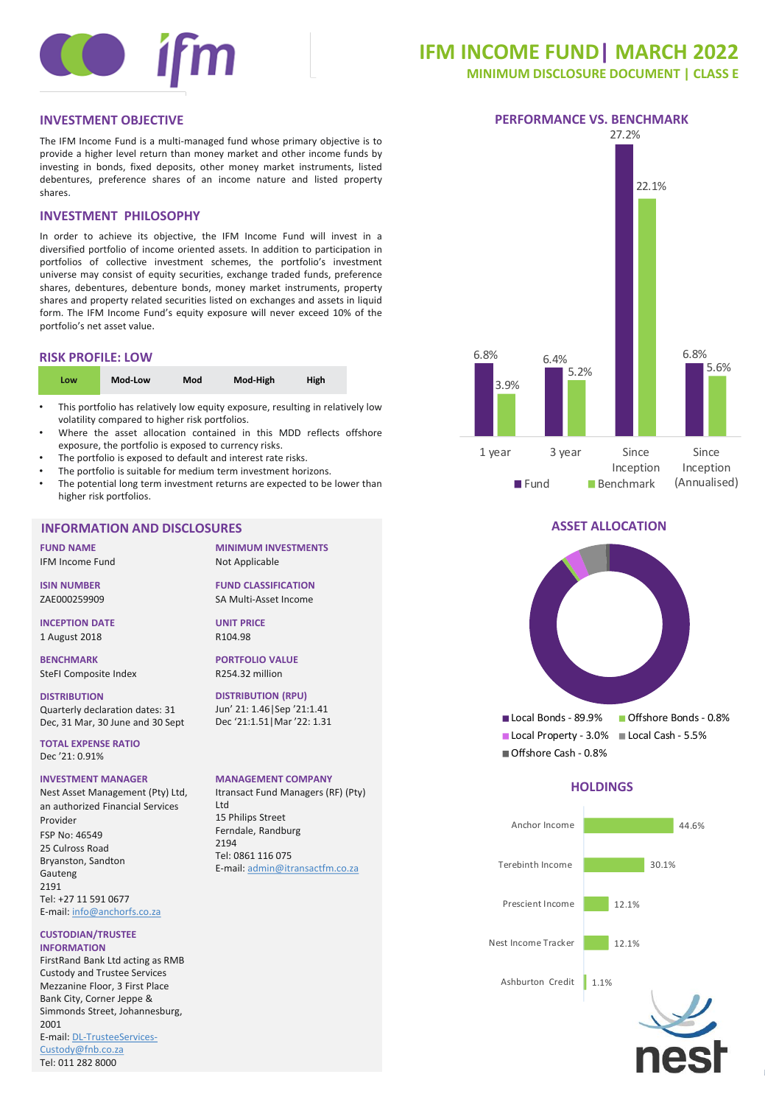

# **IFM INCOME FUND| MARCH 2022**

**MINIMUM DISCLOSURE DOCUMENT | CLASS E**

The IFM Income Fund is a multi-managed fund whose primary objective is to provide a higher level return than money market and other income funds by investing in bonds, fixed deposits, other money market instruments, listed debentures, preference shares of an income nature and listed property shares.

# **INVESTMENT PHILOSOPHY**

In order to achieve its objective, the IFM Income Fund will invest in a diversified portfolio of income oriented assets. In addition to participation in portfolios of collective investment schemes, the portfolio's investment universe may consist of equity securities, exchange traded funds, preference shares, debentures, debenture bonds, money market instruments, property shares and property related securities listed on exchanges and assets in liquid form. The IFM Income Fund's equity exposure will never exceed 10% of the portfolio's net asset value.

#### **RISK PROFILE: LOW**

| Mod-Low<br>Mod<br>Low | Mod-High<br><b>High</b> |
|-----------------------|-------------------------|
|-----------------------|-------------------------|

- This portfolio has relatively low equity exposure, resulting in relatively low volatility compared to higher risk portfolios.
- Where the asset allocation contained in this MDD reflects offshore exposure, the portfolio is exposed to currency risks.
- The portfolio is exposed to default and interest rate risks.
- The portfolio is suitable for medium term investment horizons.
- The potential long term investment returns are expected to be lower than higher risk portfolios.

### **INFORMATION AND DISCLOSURES**

**FUND NAME** IFM Income Fund

**ISIN NUMBER** ZAE000259909

**INCEPTION DATE** 1 August 2018

**BENCHMARK** SteFI Composite Index

**DISTRIBUTION** Quarterly declaration dates: 31 Dec, 31 Mar, 30 June and 30 Sept

**TOTAL EXPENSE RATIO** Dec '21: 0.91%

#### **INVESTMENT MANAGER**

Nest Asset Management (Pty) Ltd, an authorized Financial Services Provider FSP No: 46549 25 Culross Road Bryanston, Sandton Gauteng 2191 Tel: +27 11 591 0677 E-mail: [info@anchorfs.co.za](mailto:info@anchorfs.co.za)

#### **CUSTODIAN/TRUSTEE INFORMATION**

FirstRand Bank Ltd acting as RMB Custody and Trustee Services Mezzanine Floor, 3 First Place Bank City, Corner Jeppe & Simmonds Street, Johannesburg, 2001 [E-mail: DL-TrusteeServices-](mailto:DL-TrusteeServices-Custody@fnb.co.za)Custody@fnb.co.za<br>Tel: 011 282 8000

**MINIMUM INVESTMENTS** Not Applicable

**FUND CLASSIFICATION** SA Multi-Asset Income

**UNIT PRICE** R104.98

**PORTFOLIO VALUE** R254.32 million

**DISTRIBUTION (RPU)** Jun' 21: 1.46|Sep '21:1.41 Dec '21:1.51|Mar '22: 1.31

#### **MANAGEMENT COMPANY**

Itransact Fund Managers (RF) (Pty) Ltd 15 Philips Street Ferndale, Randburg 2194 Tel: 0861 116 075 E-mail: [admin@itransactfm.co.za](mailto:admin@itransactfm.co.za)



#### **ASSET ALLOCATION**



Offshore Cash - 0.8%

# **HOLDINGS**